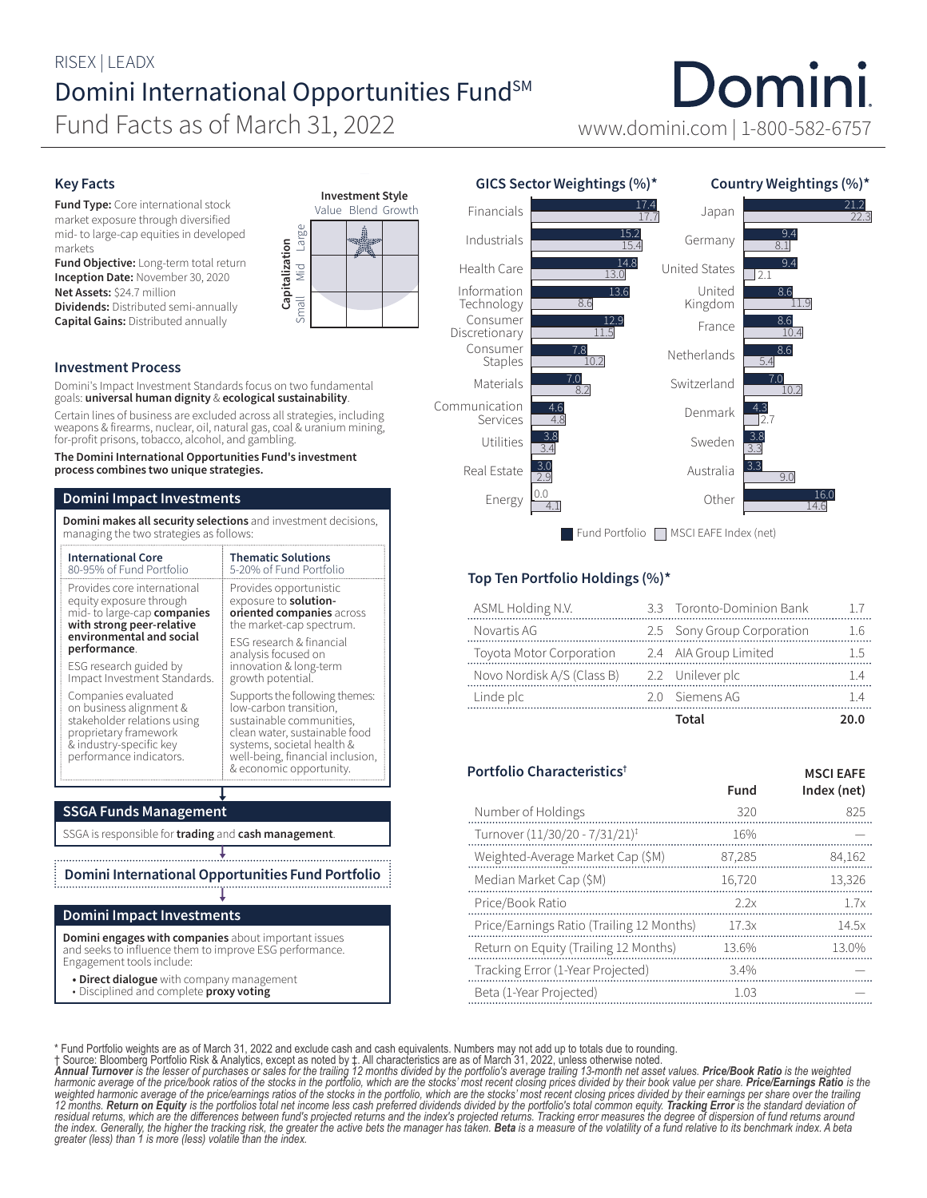# RISEX | LEADX Domini International Opportunities Fund<sup>SM</sup>

Fund Facts as of March 31, 2022 www.domini.com | 1-800-582-6757

# Domini

#### Key Facts

**Fund Type:** Core international stock market exposure through diversified mid- to large-cap equities in developed markets

Fund Objective: Long-term total return Inception Date: November 30, 2020 Net Assets: \$24.7 million

Dividends: Distributed semi-annually Capital Gains: Distributed annually



Domini's Impact Investment Standards focus on two fundamental goals: universal human dignity & ecological sustainability.

Certain lines of business are excluded across all strategies, including weapons & firearms, nuclear, oil, natural gas, coal & uranium mining, for-profit prisons, tobacco, alcohol, and gambling.

#### The Domini International Opportunities Fund's investment process combines two unique strategies.

#### Domini Impact Investments

Domini makes all security selections and investment decisions, managing the two strategies as follows:

| <b>International Core</b>                                                                                                                                    | <b>Thematic Solutions</b>                                                                                                                                                                                          |  |  |
|--------------------------------------------------------------------------------------------------------------------------------------------------------------|--------------------------------------------------------------------------------------------------------------------------------------------------------------------------------------------------------------------|--|--|
| 80-95% of Fund Portfolio                                                                                                                                     | 5-20% of Fund Portfolio                                                                                                                                                                                            |  |  |
| Provides core international                                                                                                                                  | Provides opportunistic                                                                                                                                                                                             |  |  |
| equity exposure through                                                                                                                                      | exposure to solution-                                                                                                                                                                                              |  |  |
| mid- to large-cap companies                                                                                                                                  | oriented companies across                                                                                                                                                                                          |  |  |
| with strong peer-relative                                                                                                                                    | the market-cap spectrum.                                                                                                                                                                                           |  |  |
| environmental and social                                                                                                                                     | <b>ESG</b> research & financial                                                                                                                                                                                    |  |  |
| performance.                                                                                                                                                 | analysis focused on                                                                                                                                                                                                |  |  |
| ESG research guided by                                                                                                                                       | innovation & long-term                                                                                                                                                                                             |  |  |
| Impact Investment Standards.                                                                                                                                 | growth potential.                                                                                                                                                                                                  |  |  |
| Companies evaluated<br>on business alignment &<br>stakeholder relations using<br>proprietary framework<br>& industry-specific key<br>performance indicators. | Supports the following themes:<br>low-carbon transition.<br>sustainable communities,<br>clean water, sustainable food<br>systems, societal health &<br>well-being, financial inclusion,<br>& economic opportunity. |  |  |

### SSGA Funds Management

SSGA is responsible for trading and cash management.

Domini International Opportunities Fund Portfolio

#### Domini Impact Investments

Domini engages with companies about important issues and seeks to influence them to improve ESG performance. Engagement tools include:

- Direct dialogue with company management
- Disciplined and complete proxy voting





## Top Ten Portfolio Holdings (%)\*

|                                                | Total                      | ንበ በ |
|------------------------------------------------|----------------------------|------|
| Linde plc                                      | 2.0 Siemens AG             |      |
| Novo Nordisk A/S (Class B) 2.2 Unilever plc    |                            |      |
| Toyota Motor Corporation 2.4 AIA Group Limited |                            |      |
| Novartis AG                                    | 2.5 Sony Group Corporation | 1.6  |
| ASML Holding N.V.                              | 3.3 Toronto-Dominion Bank  |      |

| Portfolio Characteristics <sup>†</sup>     |        | <b>MSCI EAFE</b> |
|--------------------------------------------|--------|------------------|
|                                            | Fund   | Index (net)      |
| Number of Holdings                         | 320    | 825              |
| Turnover (11/30/20 - 7/31/21) <sup>‡</sup> | 16%    |                  |
| Weighted-Average Market Cap (\$M)          | 87,285 | 84,162           |
| Median Market Cap (\$M)                    | 16.720 | 13.326           |
| Price/Book Ratio                           | 22x    | 1.7x             |
| Price/Earnings Ratio (Trailing 12 Months)  | 17.3x  | 14.5x            |
| Return on Equity (Trailing 12 Months)      | 13.6%  | 13.0%            |
| Tracking Error (1-Year Projected)          | 3.4%   |                  |
| Beta (1-Year Projected)                    | 1.03   |                  |

\* Fund Portfolio weights are as of March 31, 2022 and exclude cash and cash equivalents. Numbers may not add up to totals due to rounding.<br>1 Source: Bloomberg Portfolio Risk & Analytics, except as noted by 1. All character *12 months. Return on Equity is the portfolios total net income less cash preferred dividends divided by the portfolio's total common equity. Tracking Error is the standard deviation of residual returns, which are the differences between fund's projected returns and the index's projected returns. Tracking error measures the degree of dispersion of fund returns around*  the index. Generally, the higher the tracking risk, the greater the active bets the manager has taken. **Beta** is a measure of the volatility of a fund relative to its benchmark index. A beta<br>greater (less) than 1 is more (